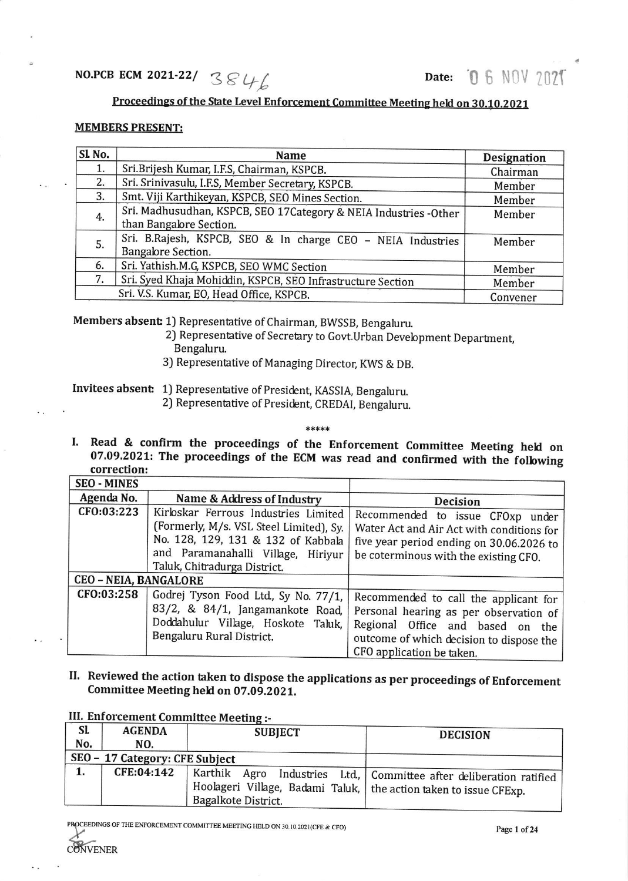## Proceedings of the State Level Enforcement Committee Meeting held on 30.10.2021

## MEMBERS PRESENT:

| SL <sub>No.</sub> | <b>Name</b>                                                                                             | <b>Designation</b> |
|-------------------|---------------------------------------------------------------------------------------------------------|--------------------|
| 1.                | Sri.Brijesh Kumar, I.F.S, Chairman, KSPCB.                                                              | Chairman           |
| 2.                | Sri. Srinivasulu, I.F.S, Member Secretary, KSPCB.                                                       | Member             |
| 3.                | Smt. Viji Karthikeyan, KSPCB, SEO Mines Section.                                                        | Member             |
| 4.                | Sri. Madhusudhan, KSPCB, SEO 17Category & NEIA Industries -Other<br>than Bangalore Section.             | Member             |
| 5.                | Sri. B.Rajesh, KSPCB, SEO & In charge CEO - NEIA Industries<br>Bangalore Section.                       | Member             |
| 6.                | Sri. Yathish.M.G, KSPCB, SEO WMC Section                                                                | Member             |
| 7.                | Sri. Syed Khaja Mohiddin, KSPCB, SEO Infrastructure Section<br>Sri. V.S. Kumar, EO, Head Office, KSPCB. | Member             |
|                   | Convener                                                                                                |                    |

Members absent 1J Representative of Chairman, BWSSB, Bengaluru.

- 2) Representative of Secretary to Govt.Urban Devebpment Departnent, Bengaluru.
	-
- 3) Representative of Managing Director, KWS & DB.

Invitees absent: 1) Representative of President, KASSIA, Bengaluru.

2) Representative of President, CREDAI, Bengaluru.

\*\*\*\*\*

07.09.2021: The proceedings of the ECM was read and confirmed with the following correction: I. Read & confirm the proceedings of the Enforcement Committee Meeting held on

| <b>SEO - MINES</b>           |                                                                                                                                                                                             |                                                                                                                                                                                              |
|------------------------------|---------------------------------------------------------------------------------------------------------------------------------------------------------------------------------------------|----------------------------------------------------------------------------------------------------------------------------------------------------------------------------------------------|
| Agenda No.                   | Name & Address of Industry                                                                                                                                                                  | <b>Decision</b>                                                                                                                                                                              |
| CFO:03:223                   | Kirloskar Ferrous Industries Limited<br>(Formerly, M/s. VSL Steel Limited), Sy.<br>No. 128, 129, 131 & 132 of Kabbala<br>and Paramanahalli Village, Hiriyur<br>Taluk, Chitradurga District. | Recommended to issue CFOxp under<br>Water Act and Air Act with conditions for<br>five year period ending on 30.06.2026 to<br>be coterminous with the existing CFO.                           |
| <b>CEO - NEIA, BANGALORE</b> |                                                                                                                                                                                             |                                                                                                                                                                                              |
| CFO:03:258                   | Godrej Tyson Food Ltd., Sy No. 77/1,<br>83/2, & 84/1, Jangamankote Road,<br>Doddahulur Village, Hoskote Taluk,<br>Bengaluru Rural District.                                                 | Recommended to call the applicant for<br>Personal hearing as per observation of<br>Regional Office and based on the<br>outcome of which decision to dispose the<br>CFO application be taken. |

II. Reviewed the action taken to dispose the applications as per proceedings of Enforcement Committee Meeting held on 07.09.ZOZI,

| Sl.<br>No. | <b>AGENDA</b><br>NO.           | <b>SUBJECT</b>                                                                             | <b>DECISION</b>                                                       |
|------------|--------------------------------|--------------------------------------------------------------------------------------------|-----------------------------------------------------------------------|
|            | SEO - 17 Category: CFE Subject |                                                                                            |                                                                       |
| 1.         | CFE:04:142                     | Hoolageri Village, Badami Taluk,   the action taken to issue CFExp.<br>Bagalkote District. | Karthik Agro Industries Ltd.,   Committee after deliberation ratified |

## III. Enforcement Committee Me

PROCEEDINGS OF THE ENFORCEMENT COMMITTEE MEETING HELD ON 30.10.2021(CFE & CFO) Page 1 of 24